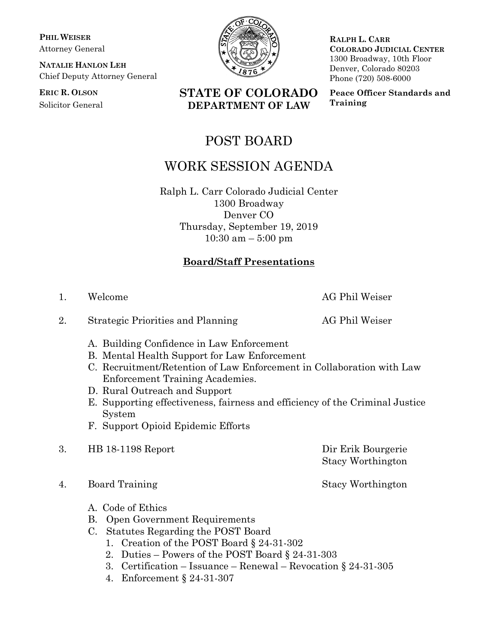**PHIL WEISER** Attorney General

**NATALIE HANLON LEH** Chief Deputy Attorney General

**ERIC R. OLSON** Solicitor General



**RALPH L. CARR COLORADO JUDICIAL CENTER** 1300 Broadway, 10th Floor Denver, Colorado 80203 Phone (720) 508-6000

**Peace Officer Standards and Training**

## POST BOARD

**STATE OF COLORADO DEPARTMENT OF LAW**

## WORK SESSION AGENDA

Ralph L. Carr Colorado Judicial Center 1300 Broadway Denver CO Thursday, September 19, 2019 10:30 am – 5:00 pm

## **Board/Staff Presentations**

- 2. Strategic Priorities and Planning AG Phil Weiser
	- A. Building Confidence in Law Enforcement
	- B. Mental Health Support for Law Enforcement
	- C. Recruitment/Retention of Law Enforcement in Collaboration with Law Enforcement Training Academies.
	- D. Rural Outreach and Support
	- E. Supporting effectiveness, fairness and efficiency of the Criminal Justice System
	- F. Support Opioid Epidemic Efforts
- 3. HB 18-1198 Report Dir Erik Bourgerie

4. Board Training Stacy Worthington

- A. Code of Ethics
- B. Open Government Requirements
- C. Statutes Regarding the POST Board
	- 1. Creation of the POST Board § 24-31-302
	- 2. Duties Powers of the POST Board § 24-31-303
	- 3. Certification Issuance Renewal Revocation § 24-31-305
	- 4. Enforcement § 24-31-307

1. Welcome AG Phil Weiser

Stacy Worthington